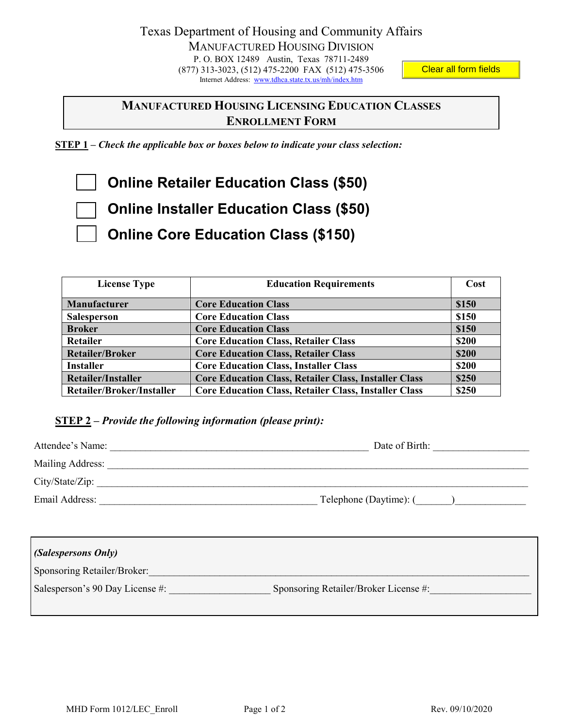## Clear all form fields

## **MANUFACTURED HOUSING LICENSING EDUCATION CLASSES ENROLLMENT FORM**

**STEP 1** *– Check the applicable box or boxes below to indicate your class selection:*

**Online Retailer Education Class (\$50)** 

 **Online Installer Education Class (\$50)** 

 **Online Core Education Class (\$150)** 

| <b>License Type</b>       | <b>Education Requirements</b>                                | Cost         |
|---------------------------|--------------------------------------------------------------|--------------|
|                           |                                                              |              |
| Manufacturer              | <b>Core Education Class</b>                                  | \$150        |
| <b>Salesperson</b>        | <b>Core Education Class</b>                                  | \$150        |
| <b>Broker</b>             | <b>Core Education Class</b>                                  | \$150        |
| Retailer                  | <b>Core Education Class, Retailer Class</b>                  | <b>\$200</b> |
| <b>Retailer/Broker</b>    | <b>Core Education Class, Retailer Class</b>                  | \$200        |
| <b>Installer</b>          | <b>Core Education Class, Installer Class</b>                 | \$200        |
| <b>Retailer/Installer</b> | <b>Core Education Class, Retailer Class, Installer Class</b> | \$250        |
| Retailer/Broker/Installer | <b>Core Education Class, Retailer Class, Installer Class</b> | \$250        |

## **STEP 2** *– Provide the following information (please print):*

| Attendee's Name:   | Date of Birth:          |
|--------------------|-------------------------|
| Mailing Address:   |                         |
| $City/State/Zip$ : |                         |
| Email Address:     | Telephone (Daytime): () |

| (Salespersons Only)             |                                       |
|---------------------------------|---------------------------------------|
| Sponsoring Retailer/Broker:     |                                       |
| Salesperson's 90 Day License #: | Sponsoring Retailer/Broker License #: |
|                                 |                                       |